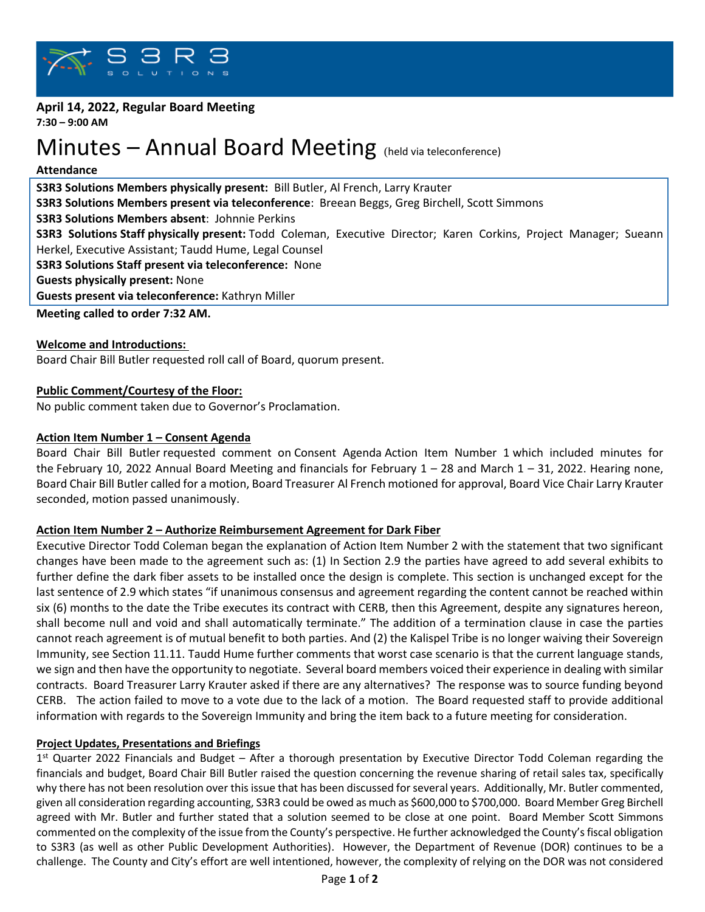

#### **April 14, 2022, Regular Board Meeting 7:30 – 9:00 AM**

# Minutes – Annual Board Meeting (held via teleconference)

#### **Attendance**

**S3R3 Solutions Members physically present:** Bill Butler, Al French, Larry Krauter **S3R3 Solutions Members present via teleconference**: Breean Beggs, Greg Birchell, Scott Simmons **S3R3 Solutions Members absent**: Johnnie Perkins **S3R3 Solutions Staff physically present:** Todd Coleman, Executive Director; Karen Corkins, Project Manager; Sueann Herkel, Executive Assistant; Taudd Hume, Legal Counsel **S3R3 Solutions Staff present via teleconference:** None **Guests physically present:** None **Guests present via teleconference:** Kathryn Miller **Meeting called to order 7:32 AM.**

## **Welcome and Introductions:**

Board Chair Bill Butler requested roll call of Board, quorum present.

## **Public Comment/Courtesy of the Floor:**

No public comment taken due to Governor's Proclamation.

## **Action Item Number 1 – Consent Agenda**

Board Chair Bill Butler requested comment on Consent Agenda Action Item Number 1 which included minutes for the February 10, 2022 Annual Board Meeting and financials for February  $1 - 28$  and March  $1 - 31$ , 2022. Hearing none, Board Chair Bill Butler called for a motion, Board Treasurer Al French motioned for approval, Board Vice Chair Larry Krauter seconded, motion passed unanimously.

## **Action Item Number 2 – Authorize Reimbursement Agreement for Dark Fiber**

Executive Director Todd Coleman began the explanation of Action Item Number 2 with the statement that two significant changes have been made to the agreement such as: (1) In Section 2.9 the parties have agreed to add several exhibits to further define the dark fiber assets to be installed once the design is complete. This section is unchanged except for the last sentence of 2.9 which states "if unanimous consensus and agreement regarding the content cannot be reached within six (6) months to the date the Tribe executes its contract with CERB, then this Agreement, despite any signatures hereon, shall become null and void and shall automatically terminate." The addition of a termination clause in case the parties cannot reach agreement is of mutual benefit to both parties. And (2) the Kalispel Tribe is no longer waiving their Sovereign Immunity, see Section 11.11. Taudd Hume further comments that worst case scenario is that the current language stands, we sign and then have the opportunity to negotiate. Several board members voiced their experience in dealing with similar contracts. Board Treasurer Larry Krauter asked if there are any alternatives? The response was to source funding beyond CERB. The action failed to move to a vote due to the lack of a motion. The Board requested staff to provide additional information with regards to the Sovereign Immunity and bring the item back to a future meeting for consideration.

## **Project Updates, Presentations and Briefings**

1<sup>st</sup> Quarter 2022 Financials and Budget – After a thorough presentation by Executive Director Todd Coleman regarding the financials and budget, Board Chair Bill Butler raised the question concerning the revenue sharing of retail sales tax, specifically why there has not been resolution over thisissue that has been discussed for several years. Additionally, Mr. Butler commented, given all consideration regarding accounting, S3R3 could be owed as much as \$600,000 to \$700,000. Board Member Greg Birchell agreed with Mr. Butler and further stated that a solution seemed to be close at one point. Board Member Scott Simmons commented on the complexity of the issue from the County's perspective. He further acknowledged the County's fiscal obligation to S3R3 (as well as other Public Development Authorities). However, the Department of Revenue (DOR) continues to be a challenge. The County and City's effort are well intentioned, however, the complexity of relying on the DOR was not considered